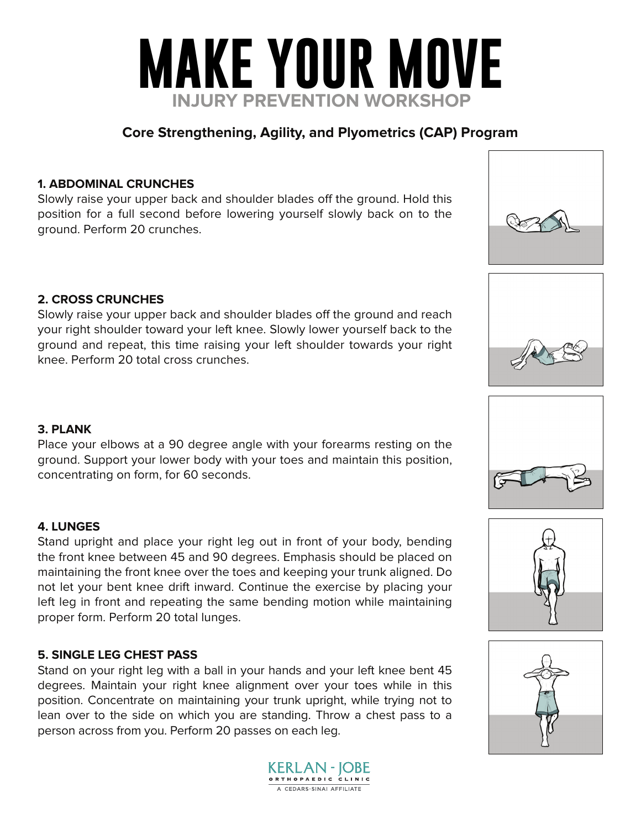

## **Core Strengthening, Agility, and Plyometrics (CAP) Program**

### **1. ABDOMINAL CRUNCHES**

Slowly raise your upper back and shoulder blades off the ground. Hold this position for a full second before lowering yourself slowly back on to the ground. Perform 20 crunches.

### **2. CROSS CRUNCHES**

Slowly raise your upper back and shoulder blades off the ground and reach your right shoulder toward your left knee. Slowly lower yourself back to the ground and repeat, this time raising your left shoulder towards your right knee. Perform 20 total cross crunches.

### **3. PLANK**

Place your elbows at a 90 degree angle with your forearms resting on the ground. Support your lower body with your toes and maintain this position, concentrating on form, for 60 seconds.

### **4. LUNGES**

Stand upright and place your right leg out in front of your body, bending the front knee between 45 and 90 degrees. Emphasis should be placed on maintaining the front knee over the toes and keeping your trunk aligned. Do not let your bent knee drift inward. Continue the exercise by placing your left leg in front and repeating the same bending motion while maintaining proper form. Perform 20 total lunges.

#### **5. SINGLE LEG CHEST PASS**

Stand on your right leg with a ball in your hands and your left knee bent 45 degrees. Maintain your right knee alignment over your toes while in this position. Concentrate on maintaining your trunk upright, while trying not to lean over to the side on which you are standing. Throw a chest pass to a person across from you. Perform 20 passes on each leg.